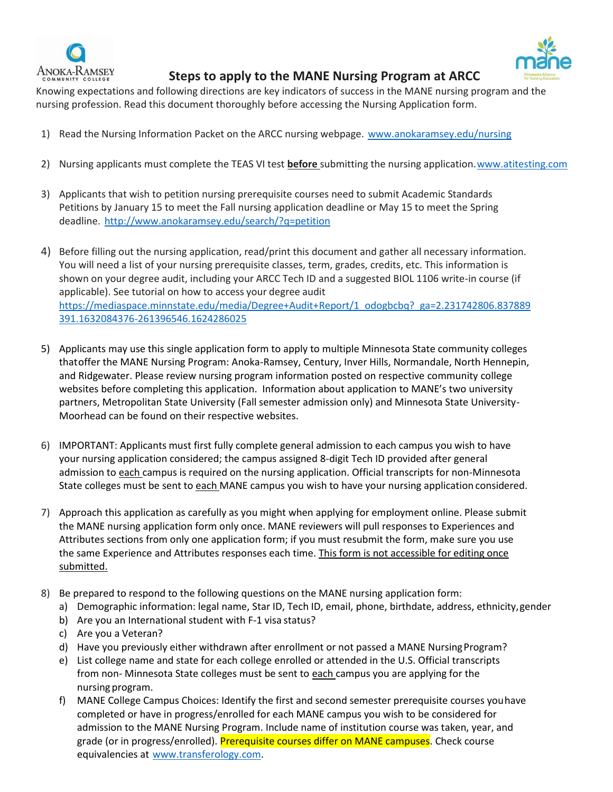



 **Steps to apply to the MANE Nursing Program at ARCC**

Knowing expectations and following directions are key indicators of success in the MANE nursing program and the nursing profession. Read this document thoroughly before accessing the Nursing Application form.

- 1) Read the Nursing Information Packet on the ARCC nursing webpage. [www.anokaramsey.edu/nursing](http://www.anokaramsey.edu/nursing)
- 2) Nursing applicants must complete the TEAS VI test **before** submitting the nursing application[.www.atitesting.com](https://nam02.safelinks.protection.outlook.com/?url=http%3A%2F%2Fwww.atitesting.com%2F&data=04%7C01%7Cdeanne.kosel%40anokaramsey.edu%7C197b27c276604299af5508d89d14bdfa%7C5011c7c60ab446ab9ef4fae74a921a7f%7C0%7C0%7C637432059696298481%7CUnknown%7CTWFpbGZsb3d8eyJWIjoiMC4wLjAwMDAiLCJQIjoiV2luMzIiLCJBTiI6Ik1haWwiLCJXVCI6Mn0%3D%7C1000&sdata=z4Giknn%2BSce6tAEWcLO913hLnB4jRXb9qsx09JAkiVo%3D&reserved=0)
- 3) Applicants that wish to petition nursing prerequisite courses need to submit Academic Standards Petitions by January 15 to meet the Fall nursing application deadline or May 15 to meet the Spring deadline.<http://www.anokaramsey.edu/search/?q=petition>
- 4) Before filling out the nursing application, read/print this document and gather all necessary information. You will need a list of your nursing prerequisite classes, term, grades, credits, etc. This information is shown on your degree audit, including your ARCC Tech ID and a suggested BIOL 1106 write-in course (if applicable). See tutorial on how to access your degree audit [https://mediaspace.minnstate.edu/media/Degree+Audit+Report/1\\_odogbcbq?\\_ga=2.231742806.837889](https://nam02.safelinks.protection.outlook.com/?url=https%3A%2F%2Fmediaspace.minnstate.edu%2Fmedia%2FDegree%2BAudit%2BReport%2F1_odogbcbq%3F_ga%3D2.231742806.837889391.1632084376-261396546.1624286025&data=04%7C01%7Cmary.pietruszewski%40anokaramsey.edu%7C67a2fb96b69c4e3ec00608d97c76c9cf%7C5011c7c60ab446ab9ef4fae74a921a7f%7C0%7C0%7C637677671889191991%7CUnknown%7CTWFpbGZsb3d8eyJWIjoiMC4wLjAwMDAiLCJQIjoiV2luMzIiLCJBTiI6Ik1haWwiLCJXVCI6Mn0%3D%7C1000&sdata=9O0FtDI7JypadlOTZmI5l2RRL%2FObPiKeaHh5%2Fbqk9Yo%3D&reserved=0) [391.1632084376-261396546.1624286025](https://nam02.safelinks.protection.outlook.com/?url=https%3A%2F%2Fmediaspace.minnstate.edu%2Fmedia%2FDegree%2BAudit%2BReport%2F1_odogbcbq%3F_ga%3D2.231742806.837889391.1632084376-261396546.1624286025&data=04%7C01%7Cmary.pietruszewski%40anokaramsey.edu%7C67a2fb96b69c4e3ec00608d97c76c9cf%7C5011c7c60ab446ab9ef4fae74a921a7f%7C0%7C0%7C637677671889191991%7CUnknown%7CTWFpbGZsb3d8eyJWIjoiMC4wLjAwMDAiLCJQIjoiV2luMzIiLCJBTiI6Ik1haWwiLCJXVCI6Mn0%3D%7C1000&sdata=9O0FtDI7JypadlOTZmI5l2RRL%2FObPiKeaHh5%2Fbqk9Yo%3D&reserved=0)
- 5) Applicants may use this single application form to apply to multiple Minnesota State community colleges thatoffer the MANE Nursing Program: Anoka-Ramsey, Century, Inver Hills, Normandale, North Hennepin, and Ridgewater. Please review nursing program information posted on respective community college websites before completing this application. Information about application to MANE's two university partners, Metropolitan State University (Fall semester admission only) and Minnesota State University-Moorhead can be found on their respective websites.
- 6) IMPORTANT: Applicants must first fully complete general admission to each campus you wish to have your nursing application considered; the campus assigned 8-digit Tech ID provided after general admission to each campus is required on the nursing application. Official transcripts for non-Minnesota State colleges must be sent to each MANE campus you wish to have your nursing application considered.
- 7) Approach this application as carefully as you might when applying for employment online. Please submit the MANE nursing application form only once. MANE reviewers will pull responses to Experiences and Attributes sections from only one application form; if you must resubmit the form, make sure you use the same Experience and Attributes responses each time. This form is not accessible for editing once submitted.
- 8) Be prepared to respond to the following questions on the MANE nursing application form:
	- a) Demographic information: legal name, Star ID, Tech ID, email, phone, birthdate, address, ethnicity,gender
	- b) Are you an International student with F-1 visa status?
	- c) Are you a Veteran?
	- d) Have you previously either withdrawn after enrollment or not passed a MANE NursingProgram?
	- e) List college name and state for each college enrolled or attended in the U.S. Official transcripts from non- Minnesota State colleges must be sent to each campus you are applying for the nursing program.
	- f) MANE College Campus Choices: Identify the first and second semester prerequisite courses youhave completed or have in progress/enrolled for each MANE campus you wish to be considered for admission to the MANE Nursing Program. Include name of institution course was taken, year, and grade (or in progress/enrolled). Prerequisite courses differ on MANE campuses. Check course equivalencies at [www.transferology.com.](http://www.transferology.com/)